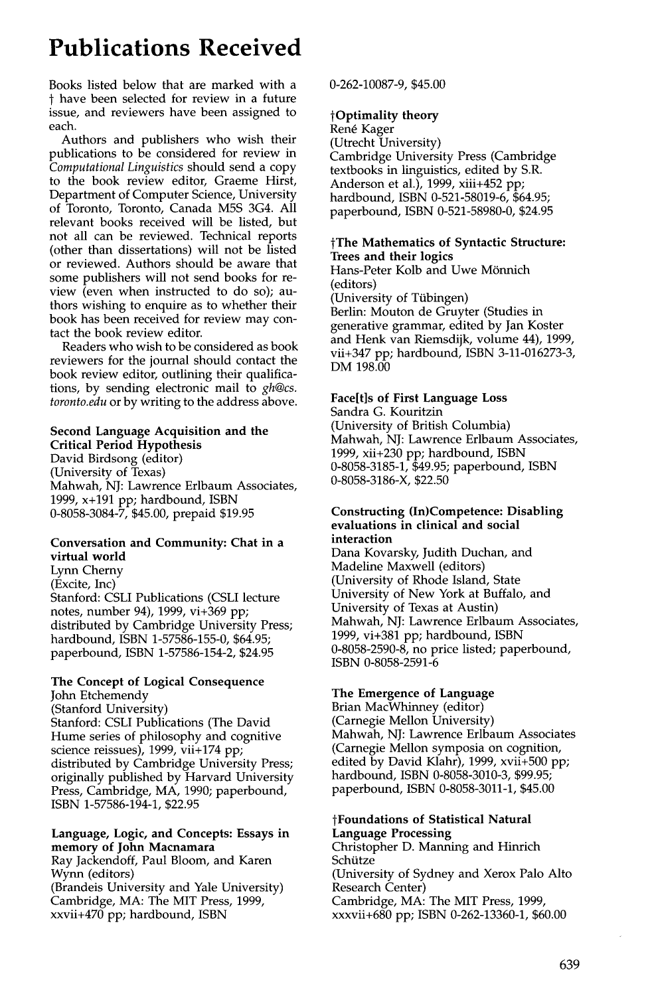# **Publications Received**

Books listed below that are marked with a t have been selected for review in a future issue, and reviewers have been assigned to each.

Authors and publishers who wish their publications to be considered for review in *Computational Linguistics* should send a copy to the book review editor, Graeme Hirst, Department of Computer Science, University of Toronto, Toronto, Canada M5S 3G4. All relevant books received will be listed, but not all can be reviewed. Technical reports (other than dissertations) will not be listed or reviewed. Authors should be aware that some publishers will not send books for review (even when instructed to do so); authors wishing to enquire as to whether their book has been received for review may contact the book review editor.

Readers who wish to be considered as book reviewers for the journal should contact the book review editor, outlining their qualifications, by sending electronic mail to *gh@cs. toronto.edu* or by writing to the address above.

#### **Second Language Acquisition and the Critical Period Hypothesis**

David Birdsong (editor) (University of Texas) Mahwah, NJ: Lawrence Erlbaum Associates, 1999, x+191 pp; hardbound, ISBN 0-8058-3084-7, \$45.00, prepaid \$19.95

#### **Conversation and Community: Chat in** a virtual **world**

Lynn Cherny (Excite, Inc) Stanford: CSLI Publications (CSLI lecture notes, number 94), 1999, vi+369 pp; distributed by Cambridge University Press; hardbound, ISBN 1-57586-155-0, \$64.95; paperbound, ISBN 1-57586-154-2, \$24.95

# **The Concept of Logical Consequence**

John Etchemendy (Stanford University) Stanford: CSLI Publications (The David Hume series of philosophy and cognitive science reissues), 1999, vii+174 pp; distributed by Cambridge University Press; originally published by Harvard University Press, Cambridge, MA, 1990; paperbound, ISBN 1-57586-194-1, \$22.95

#### **Language, Logic, and Concepts: Essays in memory of John Macnamara**

Ray Jackendoff, Paul Bloom, and Karen Wynn (editors) (Brandeis University and Yale University) Cambridge, MA: The MIT Press, 1999, xxvii+470 pp; hardbound, ISBN

0-262-10087-9, \$45.00

# **tOptimality theory**

Ren6 Kager (Utrecht University) Cambridge University Press (Cambridge textbooks in linguistics, edited by S.R. Anderson et al.), 1999, xiii+452 pp; hardbound, ISBN 0-521-58019-6, \$64.95; paperbound, ISBN 0-521-58980-0, \$24.95

### **tThe Mathematics of Syntactic Structure: Trees and their logics**

Hans-Peter Kolb and Uwe Mönnich (editors) (University of Tiibingen) Berlin: Mouton de Gruyter (Studies in generative grammar, edited by Jan Koster and Henk van Riemsdijk, volume 44), 1999, vii+347 pp; hardbound, ISBN 3-11-016273-3, DM 198.00

# **Face[t]s of First Language Loss**

Sandra G. Kouritzin (University of British Columbia) Mahwah, NJ: Lawrence Erlbaum Associates, 1999, xii+230 pp; hardbound, ISBN 0-8058-3185-1, \$49.95; paperbound, ISBN 0-8058-3186-X, \$22.50

#### **Constructing (In)Competence: Disabling evaluations in clinical and social interaction**

Dana Kovarsky, Judith Duchan, and Madeline Maxwell (editors) (University of Rhode Island, State University of New York at Buffalo, and University of Texas at Austin) Mahwah, NJ: Lawrence Erlbaum Associates, 1999, vi+381 pp; hardbound, ISBN 0-8058-2590-8, no price listed; paperbound, ISBN 0-8058-2591-6

# **The Emergence of Language**

Brian MacWhinney (editor) (Carnegie Mellon University) Mahwah, NJ: Lawrence Erlbaum Associates (Carnegie Mellon symposia on cognition, edited by David Klahr), 1999, xvii+500 pp; hardbound, ISBN 0-8058-3010-3, \$99.95; paperbound, ISBN 0-8058-3011-1, \$45.00

# **tFoundations of Statistical Natural Language Processing**

Christopher D. Manning and Hinrich Schütze (University of Sydney and Xerox Palo Alto Research Center) Cambridge, MA: The MIT Press, 1999, xxxvii+680 pp; ISBN 0-262-13360-1, \$60.00